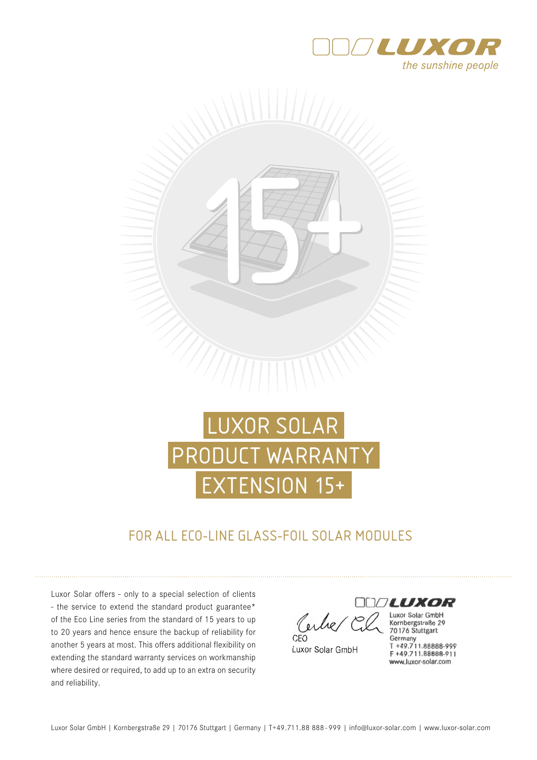



# LUXOR SOLAR PRODUCT WARRANTY EXTENSION 15+

## FOR ALL ECO-LINE GLASS-FOIL SOLAR MODULES

Luxor Solar offers - only to a special selection of clients - the service to extend the standard product guarantee\* of the Eco Line series from the standard of 15 years to up to 20 years and hence ensure the backup of reliability for another 5 years at most. This offers additional flexibility on extending the standard warranty services on workmanship where desired or required, to add up to an extra on security and reliability.

erbe  $CFO$ 

Luxor Solar GmbH

Luxor Solar GmbH Kornbergstraße 29 70176 Stuttgart Germany T +49.711.88888-999 F +49.711.88888-911 www.luxor-solar.com

**LUXOR**